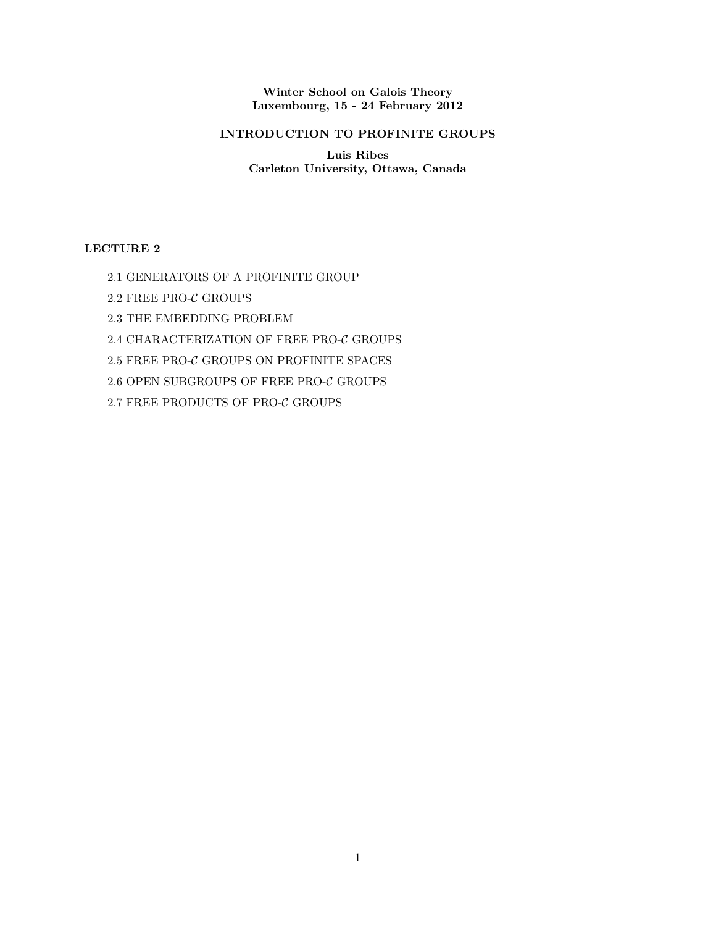Winter School on Galois Theory Luxembourg, 15 - 24 February 2012

# INTRODUCTION TO PROFINITE GROUPS

Luis Ribes Carleton University, Ottawa, Canada

# LECTURE 2

- 2.1 GENERATORS OF A PROFINITE GROUP
- 2.2 FREE PRO-C GROUPS
- 2.3 THE EMBEDDING PROBLEM
- 2.4 CHARACTERIZATION OF FREE PRO-C GROUPS
- $2.5$  FREE PRO- $\mathcal C$  GROUPS ON PROFINITE SPACES
- 2.6 OPEN SUBGROUPS OF FREE PRO-C GROUPS
- $2.7$  FREE PRODUCTS OF PRO- $\mathcal C$  GROUPS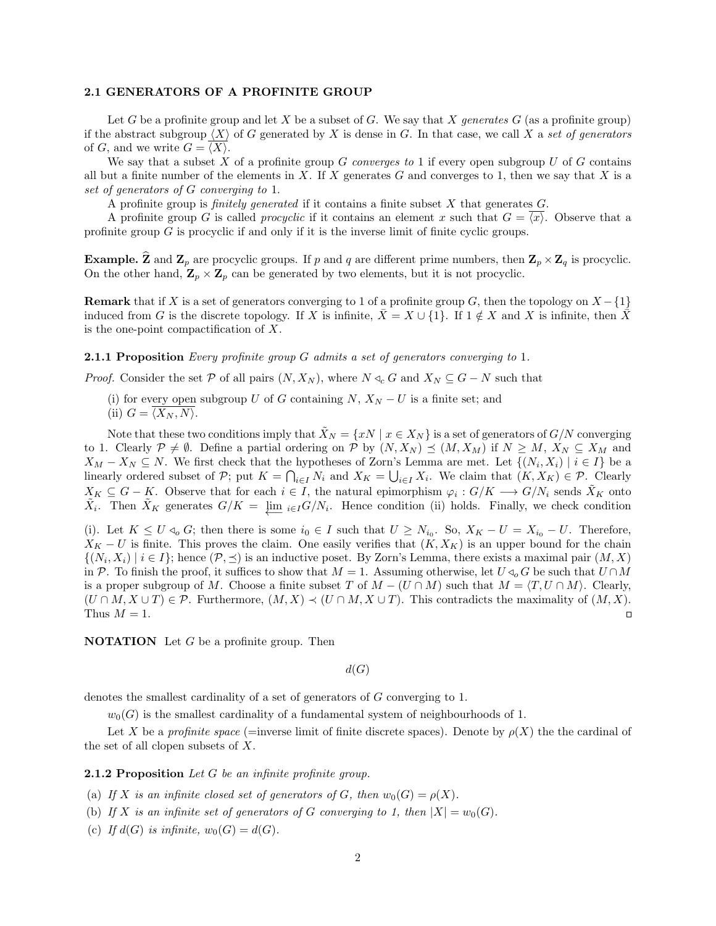#### 2.1 GENERATORS OF A PROFINITE GROUP

Let G be a profinite group and let X be a subset of G. We say that X generates  $G$  (as a profinite group) if the abstract subgroup  $\langle X \rangle$  of G generated by X is dense in G. In that case, we call X a set of generators of G, and we write  $G = \langle X \rangle$ .

We say that a subset X of a profinite group G converges to 1 if every open subgroup U of G contains all but a finite number of the elements in X. If X generates  $G$  and converges to 1, then we say that X is a set of generators of G converging to 1.

A profinite group is *finitely generated* if it contains a finite subset  $X$  that generates  $G$ .

A profinite group G is called *procyclic* if it contains an element x such that  $G = \langle x \rangle$ . Observe that a profinite group G is procyclic if and only if it is the inverse limit of finite cyclic groups.

**Example.**  $\hat{\mathbf{Z}}$  and  $\mathbf{Z}_p$  are procyclic groups. If p and q are different prime numbers, then  $\mathbf{Z}_p \times \mathbf{Z}_q$  is procyclic. On the other hand,  $\mathbf{Z}_p \times \mathbf{Z}_p$  can be generated by two elements, but it is not procyclic.

**Remark** that if X is a set of generators converging to 1 of a profinite group G, then the topology on  $X - \{1\}$ induced from G is the discrete topology. If X is infinite,  $\bar{X} = X \cup \{1\}$ . If  $1 \notin X$  and X is infinite, then  $\bar{X}$ is the one-point compactification of X.

#### **2.1.1 Proposition** Every profinite group G admits a set of generators converging to 1.

*Proof.* Consider the set P of all pairs  $(N, X_N)$ , where  $N \triangleleft_c G$  and  $X_N \subseteq G - N$  such that

(i) for every open subgroup U of G containing  $N, X_N - U$  is a finite set; and (ii)  $G = \langle X_N, N \rangle$ .

Note that these two conditions imply that  $\hat{X}_N = \{xN \mid x \in X_N\}$  is a set of generators of  $G/N$  converging to 1. Clearly  $P \neq \emptyset$ . Define a partial ordering on P by  $(N, X_N) \preceq (M, X_M)$  if  $N \geq M, X_N \subseteq X_M$  and  $X_M - X_N \subseteq N$ . We first check that the hypotheses of Zorn's Lemma are met. Let  $\{(N_i, X_i) \mid i \in I\}$  be a linearly ordered subset of P; put  $K = \bigcap_{i \in I} N_i$  and  $X_K = \bigcup_{i \in I} X_i$ . We claim that  $(K, X_K) \in \mathcal{P}$ . Clearly  $X_K \subseteq G - K$ . Observe that for each  $i \in I$ , the natural epimorphism  $\varphi_i: G/K \longrightarrow G/N_i$  sends  $\tilde{X}_K$  onto  $\tilde{X}_i$ . Then  $\tilde{X}_K$  generates  $G/K = \underleftarrow{\lim}_{i \in I} G/N_i$ . Hence condition (ii) holds. Finally, we check condition

(i). Let  $K \leq U \triangleleft_o G$ ; then there is some  $i_0 \in I$  such that  $U \geq N_{i_0}$ . So,  $X_K - U = X_{i_0} - U$ . Therefore,  $X_K - U$  is finite. This proves the claim. One easily verifies that  $(K, X_K)$  is an upper bound for the chain  $\{(N_i, X_i) \mid i \in I\}$ ; hence  $(\mathcal{P}, \preceq)$  is an inductive poset. By Zorn's Lemma, there exists a maximal pair  $(M, X)$ in P. To finish the proof, it suffices to show that  $M = 1$ . Assuming otherwise, let  $U \triangleleft_{o} G$  be such that  $U \cap M$ is a proper subgroup of M. Choose a finite subset T of  $M - (U \cap M)$  such that  $M = \langle T, U \cap M \rangle$ . Clearly,  $(U \cap M, X \cup T) \in \mathcal{P}$ . Furthermore,  $(M, X) \prec (U \cap M, X \cup T)$ . This contradicts the maximality of  $(M, X)$ . Thus  $M = 1$ .  $\Box$ 

**NOTATION** Let  $G$  be a profinite group. Then

 $d(G)$ 

denotes the smallest cardinality of a set of generators of G converging to 1.

 $w_0(G)$  is the smallest cardinality of a fundamental system of neighbourhoods of 1.

Let X be a profinite space (=inverse limit of finite discrete spaces). Denote by  $\rho(X)$  the the cardinal of the set of all clopen subsets of  $X$ .

**2.1.2 Proposition** Let G be an infinite profinite group.

(a) If X is an infinite closed set of generators of G, then  $w_0(G) = \rho(X)$ .

(b) If X is an infinite set of generators of G converging to 1, then  $|X| = w_0(G)$ .

(c) If  $d(G)$  is infinite,  $w_0(G) = d(G)$ .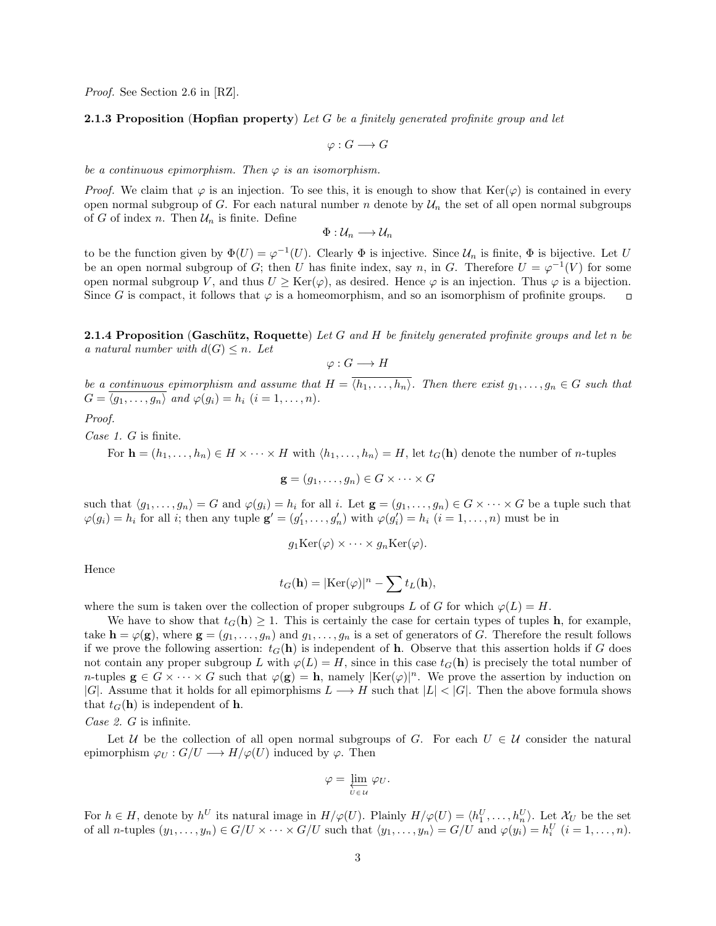Proof. See Section 2.6 in [RZ].

### **2.1.3 Proposition (Hopfian property)** Let G be a finitely generated profinite group and let

 $\varphi: G \longrightarrow G$ 

be a continuous epimorphism. Then  $\varphi$  is an isomorphism.

*Proof.* We claim that  $\varphi$  is an injection. To see this, it is enough to show that Ker( $\varphi$ ) is contained in every open normal subgroup of G. For each natural number n denote by  $\mathcal{U}_n$  the set of all open normal subgroups of G of index n. Then  $\mathcal{U}_n$  is finite. Define

$$
\Phi: \mathcal{U}_n \longrightarrow \mathcal{U}_n
$$

to be the function given by  $\Phi(U) = \varphi^{-1}(U)$ . Clearly  $\Phi$  is injective. Since  $\mathcal{U}_n$  is finite,  $\Phi$  is bijective. Let U be an open normal subgroup of G; then U has finite index, say n, in G. Therefore  $U = \varphi^{-1}(V)$  for some open normal subgroup V, and thus  $U \geq \text{Ker}(\varphi)$ , as desired. Hence  $\varphi$  is an injection. Thus  $\varphi$  is a bijection. Since G is compact, it follows that  $\varphi$  is a homeomorphism, and so an isomorphism of profinite groups.  $\Box$ 

**2.1.4 Proposition (Gaschütz, Roquette)** Let G and H be finitely generated profinite groups and let n be a natural number with  $d(G) \leq n$ . Let

$$
\varphi: G \longrightarrow H
$$

be a continuous epimorphism and assume that  $H = \overline{\langle h_1, \ldots, h_n \rangle}$ . Then there exist  $g_1, \ldots, g_n \in G$  such that  $G = \langle \overline{g_1, \ldots, g_n} \rangle$  and  $\varphi(g_i) = h_i$   $(i = 1, \ldots, n)$ .

Proof.

Case 1. G is finite.

For  $\mathbf{h} = (h_1, \ldots, h_n) \in H \times \cdots \times H$  with  $\langle h_1, \ldots, h_n \rangle = H$ , let  $t_G(\mathbf{h})$  denote the number of *n*-tuples

 $\mathbf{g} = (g_1, \ldots, g_n) \in G \times \cdots \times G$ 

such that  $\langle g_1, \ldots, g_n \rangle = G$  and  $\varphi(g_i) = h_i$  for all i. Let  $\mathbf{g} = (g_1, \ldots, g_n) \in G \times \cdots \times G$  be a tuple such that  $\varphi(g_i) = h_i$  for all *i*; then any tuple  $\mathbf{g}' = (g'_1, \ldots, g'_n)$  with  $\varphi(g'_i) = h_i$   $(i = 1, \ldots, n)$  must be in

$$
g_1 \text{Ker}(\varphi) \times \cdots \times g_n \text{Ker}(\varphi).
$$

Hence

$$
t_G(\mathbf{h}) = |\text{Ker}(\varphi)|^n - \sum t_L(\mathbf{h}),
$$

where the sum is taken over the collection of proper subgroups L of G for which  $\varphi(L) = H$ .

We have to show that  $t_G(h) \geq 1$ . This is certainly the case for certain types of tuples h, for example, take  $\mathbf{h} = \varphi(\mathbf{g})$ , where  $\mathbf{g} = (g_1, \ldots, g_n)$  and  $g_1, \ldots, g_n$  is a set of generators of G. Therefore the result follows if we prove the following assertion:  $t_G(\mathbf{h})$  is independent of **h**. Observe that this assertion holds if G does not contain any proper subgroup L with  $\varphi(L) = H$ , since in this case  $t_G(\mathbf{h})$  is precisely the total number of *n*-tuples  $\mathbf{g} \in G \times \cdots \times G$  such that  $\varphi(\mathbf{g}) = \mathbf{h}$ , namely  $|\text{Ker}(\varphi)|^n$ . We prove the assertion by induction on |G|. Assume that it holds for all epimorphisms  $L \longrightarrow H$  such that  $|L| < |G|$ . Then the above formula shows that  $t_G(\mathbf{h})$  is independent of **h**.

Case 2. G is infinite.

Let U be the collection of all open normal subgroups of G. For each  $U \in \mathcal{U}$  consider the natural epimorphism  $\varphi_U : G/U \longrightarrow H/\varphi(U)$  induced by  $\varphi$ . Then

$$
\varphi = \varprojlim_{U \in \mathcal{U}} \varphi_U.
$$

For  $h \in H$ , denote by  $h^U$  its natural image in  $H/\varphi(U)$ . Plainly  $H/\varphi(U) = \langle h_1^U, \ldots, h_n^U \rangle$ . Let  $\mathcal{X}_U$  be the set of all *n*-tuples  $(y_1, \ldots, y_n) \in G/U \times \cdots \times G/U$  such that  $\langle y_1, \ldots, y_n \rangle = G/U$  and  $\varphi(y_i) = h_i^U$   $(i = 1, \ldots, n)$ .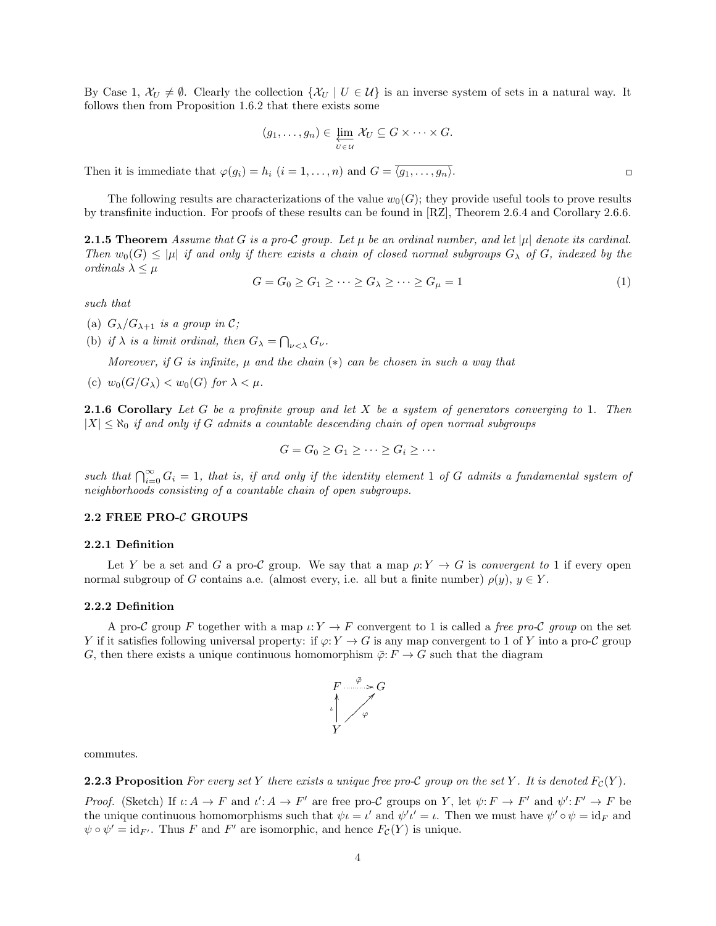By Case 1,  $\mathcal{X}_U \neq \emptyset$ . Clearly the collection  $\{\mathcal{X}_U \mid U \in \mathcal{U}\}\$ is an inverse system of sets in a natural way. It follows then from Proposition 1.6.2 that there exists some

$$
(g_1,\ldots,g_n)\in\varprojlim_{U\in\mathcal{U}}\mathcal{X}_U\subseteq G\times\cdots\times G.
$$

Then it is immediate that  $\varphi(g_i) = h_i$   $(i = 1, ..., n)$  and  $G = \overline{\langle g_1, ..., g_n \rangle}$ .

The following results are characterizations of the value  $w_0(G)$ ; they provide useful tools to prove results by transfinite induction. For proofs of these results can be found in [RZ], Theorem 2.6.4 and Corollary 2.6.6.

**2.1.5 Theorem** Assume that G is a pro-C group. Let  $\mu$  be an ordinal number, and let  $|\mu|$  denote its cardinal. Then  $w_0(G) \leq |\mu|$  if and only if there exists a chain of closed normal subgroups  $G_\lambda$  of G, indexed by the ordinals  $\lambda \leq \mu$ 

$$
G = G_0 \ge G_1 \ge \dots \ge G_\lambda \ge \dots \ge G_\mu = 1 \tag{1}
$$

such that

- (a)  $G_{\lambda}/G_{\lambda+1}$  is a group in C;
- (b) if  $\lambda$  is a limit ordinal, then  $G_{\lambda} = \bigcap_{\nu < \lambda} G_{\nu}$ .

Moreover, if G is infinite,  $\mu$  and the chain  $(*)$  can be chosen in such a way that

(c)  $w_0(G/G_\lambda) < w_0(G)$  for  $\lambda < \mu$ .

**2.1.6 Corollary** Let  $G$  be a profinite group and let  $X$  be a system of generators converging to 1. Then  $|X| \leq \aleph_0$  if and only if G admits a countable descending chain of open normal subgroups

$$
G = G_0 \ge G_1 \ge \cdots \ge G_i \ge \cdots
$$

such that  $\bigcap_{i=0}^{\infty} G_i = 1$ , that is, if and only if the identity element 1 of G admits a fundamental system of neighborhoods consisting of a countable chain of open subgroups.

# 2.2 FREE PRO-C GROUPS

#### 2.2.1 Definition

Let Y be a set and G a pro-C group. We say that a map  $\rho: Y \to G$  is convergent to 1 if every open normal subgroup of G contains a.e. (almost every, i.e. all but a finite number)  $\rho(y)$ ,  $y \in Y$ .

### 2.2.2 Definition

A pro-C group F together with a map  $\iota: Y \to F$  convergent to 1 is called a free pro-C group on the set Y if it satisfies following universal property: if  $\varphi: Y \to G$  is any map convergent to 1 of Y into a pro-C group G, then there exists a unique continuous homomorphism  $\overline{\varphi}$ :  $F \to G$  such that the diagram



commutes.

**2.2.3 Proposition** For every set Y there exists a unique free pro-C group on the set Y. It is denoted  $F_c(Y)$ .

Proof. (Sketch) If  $\iota: A \to F$  and  $\iota': A \to F'$  are free pro-C groups on Y, let  $\psi: F \to F'$  and  $\psi': F' \to F$  be the unique continuous homomorphisms such that  $\psi \iota = \iota'$  and  $\psi' \iota' = \iota$ . Then we must have  $\psi' \circ \psi = id_F$  and  $\psi \circ \psi' = id_{F'}$ . Thus F and F' are isomorphic, and hence  $F_{\mathcal{C}}(Y)$  is unique.

 $\Box$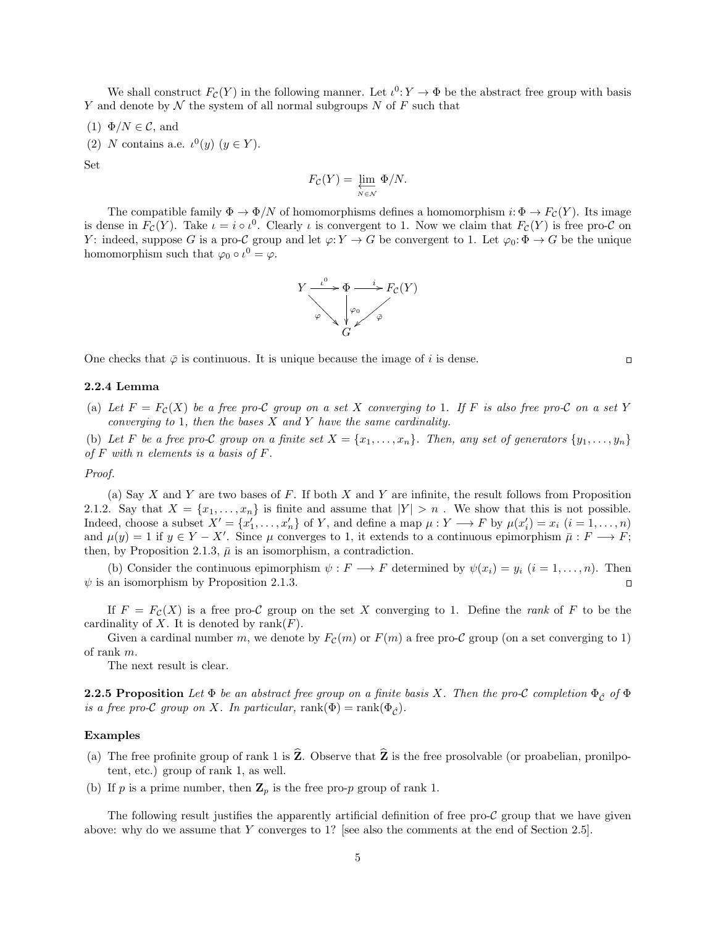We shall construct  $F_c(Y)$  in the following manner. Let  $\iota^0: Y \to \Phi$  be the abstract free group with basis Y and denote by  $N$  the system of all normal subgroups  $N$  of  $F$  such that

- (1)  $\Phi/N \in \mathcal{C}$ , and
- (2) N contains a.e.  $\iota^{0}(y)$   $(y \in Y)$ .

Set

$$
F_{\mathcal{C}}(Y) = \varprojlim_{N \in \mathcal{N}} \Phi/N.
$$

The compatible family  $\Phi \to \Phi/N$  of homomorphisms defines a homomorphism  $i: \Phi \to F_{\mathcal{C}}(Y)$ . Its image is dense in  $F_{\mathcal{C}}(Y)$ . Take  $\iota = i \circ \iota^0$ . Clearly  $\iota$  is convergent to 1. Now we claim that  $F_{\mathcal{C}}(Y)$  is free pro- $\mathcal{C}$  on Y: indeed, suppose G is a pro-C group and let  $\varphi: Y \to G$  be convergent to 1. Let  $\varphi_0: \Phi \to G$  be the unique homomorphism such that  $\varphi_0 \circ \iota^0 = \varphi$ .



One checks that  $\bar{\varphi}$  is continuous. It is unique because the image of i is dense.

# 2.2.4 Lemma

(a) Let  $F = F<sub>C</sub>(X)$  be a free pro-C group on a set X converging to 1. If F is also free pro-C on a set Y converging to 1, then the bases  $X$  and  $Y$  have the same cardinality.

(b) Let F be a free pro-C group on a finite set  $X = \{x_1, \ldots, x_n\}$ . Then, any set of generators  $\{y_1, \ldots, y_n\}$ of  $F$  with  $n$  elements is a basis of  $F$ .

#### Proof.

(a) Say X and Y are two bases of F. If both X and Y are infinite, the result follows from Proposition 2.1.2. Say that  $X = \{x_1, \ldots, x_n\}$  is finite and assume that  $|Y| > n$ . We show that this is not possible. Indeed, choose a subset  $X' = \{x'_1, \ldots, x'_n\}$  of Y, and define a map  $\mu : Y \longrightarrow F$  by  $\mu(x'_i) = x_i$   $(i = 1, \ldots, n)$ and  $\mu(y) = 1$  if  $y \in Y - X'$ . Since  $\mu$  converges to 1, it extends to a continuous epimorphism  $\bar{\mu}: F \longrightarrow F$ ; then, by Proposition 2.1.3,  $\bar{\mu}$  is an isomorphism, a contradiction.

(b) Consider the continuous epimorphism  $\psi : F \longrightarrow F$  determined by  $\psi(x_i) = y_i$   $(i = 1, ..., n)$ . Then  $\psi$  is an isomorphism by Proposition 2.1.3.

If  $F = F<sub>C</sub>(X)$  is a free pro-C group on the set X converging to 1. Define the rank of F to be the cardinality of X. It is denoted by  $rank(F)$ .

Given a cardinal number m, we denote by  $F_c(m)$  or  $F(m)$  a free pro-C group (on a set converging to 1) of rank m.

The next result is clear.

**2.2.5 Proposition** Let  $\Phi$  be an abstract free group on a finite basis X. Then the pro-C completion  $\Phi_{\hat{C}}$  of  $\Phi$ is a free pro-C group on X. In particular,  $rank(\Phi) = rank(\Phi_{\hat{C}})$ .

### Examples

- (a) The free profinite group of rank 1 is  $\hat{Z}$ . Observe that  $\hat{Z}$  is the free prosolvable (or proabelian, pronilpotent, etc.) group of rank 1, as well.
- (b) If p is a prime number, then  $\mathbb{Z}_p$  is the free pro-p group of rank 1.

The following result justifies the apparently artificial definition of free pro- $\mathcal C$  group that we have given above: why do we assume that Y converges to 1? [see also the comments at the end of Section 2.5].

 $\Box$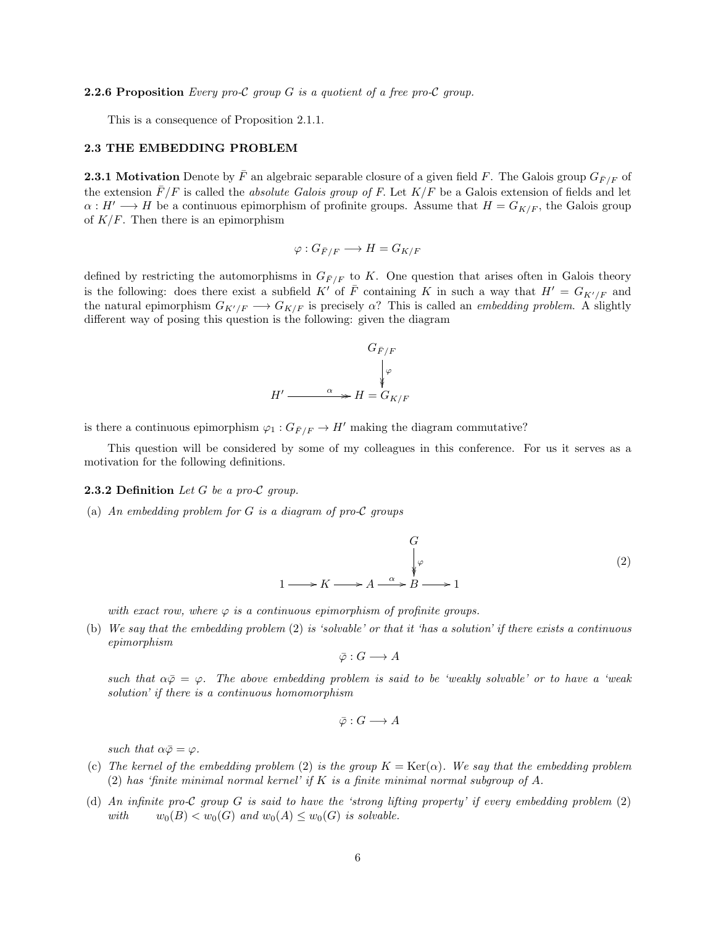#### **2.2.6 Proposition** Every pro-C group  $G$  is a quotient of a free pro-C group.

This is a consequence of Proposition 2.1.1.

# 2.3 THE EMBEDDING PROBLEM

**2.3.1 Motivation** Denote by  $\bar{F}$  an algebraic separable closure of a given field F. The Galois group  $G_{\bar{F}/F}$  of the extension  $\bar{F}/F$  is called the *absolute Galois group of F*. Let  $K/F$  be a Galois extension of fields and let  $\alpha: H' \longrightarrow H$  be a continuous epimorphism of profinite groups. Assume that  $H = G_{K/F}$ , the Galois group of  $K/F$ . Then there is an epimorphism

$$
\varphi: G_{\bar{F}/F} \longrightarrow H = G_{K/F}
$$

defined by restricting the automorphisms in  $G_{\bar{F}/F}$  to K. One question that arises often in Galois theory is the following: does there exist a subfield K' of  $\bar{F}$  containing K in such a way that  $H' = G_{K'/F}$  and the natural epimorphism  $G_{K'/F} \longrightarrow G_{K/F}$  is precisely  $\alpha$ ? This is called an *embedding problem*. A slightly different way of posing this question is the following: given the diagram

$$
G_{\overline{F}/F}
$$
\n
$$
H' \xrightarrow{\alpha} H = G_{K/F}
$$

is there a continuous epimorphism  $\varphi_1: G_{\bar{F}/F} \to H'$  making the diagram commutative?

This question will be considered by some of my colleagues in this conference. For us it serves as a motivation for the following definitions.

#### **2.3.2 Definition** Let G be a pro-C group.

(a) An embedding problem for G is a diagram of pro-C groups

$$
\begin{array}{ccc}\n & G & & \\
 & \downarrow \varphi & \\
1 & \to K \longrightarrow A \longrightarrow A \longrightarrow B \longrightarrow 1\n\end{array}
$$
\n(2)

with exact row, where  $\varphi$  is a continuous epimorphism of profinite groups.

(b) We say that the embedding problem  $(2)$  is 'solvable' or that it 'has a solution' if there exists a continuous epimorphism

$$
\bar{\varphi}: G \longrightarrow A
$$

such that  $\alpha\overline{\varphi} = \varphi$ . The above embedding problem is said to be 'weakly solvable' or to have a 'weak solution' if there is a continuous homomorphism

$$
\bar{\varphi}: G \longrightarrow A
$$

such that  $\alpha\bar{\varphi}=\varphi$ .

- (c) The kernel of the embedding problem (2) is the group  $K = \text{Ker}(\alpha)$ . We say that the embedding problem (2) has 'finite minimal normal kernel' if K is a finite minimal normal subgroup of A.
- (d) An infinite pro-C group G is said to have the 'strong lifting property' if every embedding problem (2) with  $w_0(B) < w_0(G)$  and  $w_0(A) \leq w_0(G)$  is solvable.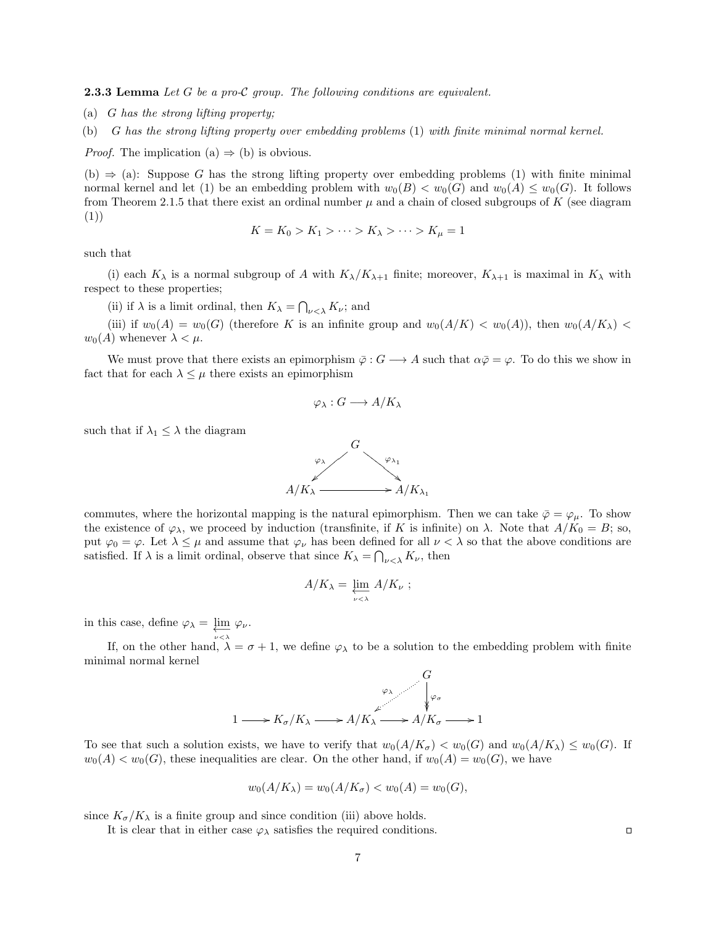**2.3.3 Lemma** Let G be a pro-C group. The following conditions are equivalent.

(a) G has the strong lifting property;

(b) G has the strong lifting property over embedding problems (1) with finite minimal normal kernel.

*Proof.* The implication (a)  $\Rightarrow$  (b) is obvious.

(b)  $\Rightarrow$  (a): Suppose G has the strong lifting property over embedding problems (1) with finite minimal normal kernel and let (1) be an embedding problem with  $w_0(B) < w_0(G)$  and  $w_0(A) < w_0(G)$ . It follows from Theorem 2.1.5 that there exist an ordinal number  $\mu$  and a chain of closed subgroups of K (see diagram (1))

$$
K = K_0 > K_1 > \cdots > K_{\lambda} > \cdots > K_{\mu} = 1
$$

such that

(i) each  $K_{\lambda}$  is a normal subgroup of A with  $K_{\lambda}/K_{\lambda+1}$  finite; moreover,  $K_{\lambda+1}$  is maximal in  $K_{\lambda}$  with respect to these properties;

(ii) if  $\lambda$  is a limit ordinal, then  $K_{\lambda} = \bigcap_{\nu \leq \lambda} K_{\nu}$ ; and

(iii) if  $w_0(A) = w_0(G)$  (therefore K is an infinite group and  $w_0(A/K) < w_0(A)$ ), then  $w_0(A/K)$  <  $w_0(A)$  whenever  $\lambda < \mu$ .

We must prove that there exists an epimorphism  $\bar{\varphi}: G \longrightarrow A$  such that  $\alpha \bar{\varphi} = \varphi$ . To do this we show in fact that for each  $\lambda \leq \mu$  there exists an epimorphism

$$
\varphi_{\lambda}: G \longrightarrow A/K_{\lambda}
$$

such that if  $\lambda_1 \leq \lambda$  the diagram



commutes, where the horizontal mapping is the natural epimorphism. Then we can take  $\bar{\varphi} = \varphi_{\mu}$ . To show the existence of  $\varphi_{\lambda}$ , we proceed by induction (transfinite, if K is infinite) on  $\lambda$ . Note that  $A/K_0 = B$ ; so, put  $\varphi_0 = \varphi$ . Let  $\lambda \leq \mu$  and assume that  $\varphi_{\nu}$  has been defined for all  $\nu < \lambda$  so that the above conditions are satisfied. If  $\lambda$  is a limit ordinal, observe that since  $K_{\lambda} = \bigcap_{\nu \leq \lambda} K_{\nu}$ , then

$$
A/K_{\lambda} = \varprojlim_{\nu < \lambda} A/K_{\nu} ;
$$

in this case, define  $\varphi_{\lambda} = \varprojlim_{\nu \prec \lambda} \varphi_{\nu}$ .

If, on the other hand,  $\lambda = \sigma + 1$ , we define  $\varphi_{\lambda}$  to be a solution to the embedding problem with finite minimal normal kernel



To see that such a solution exists, we have to verify that  $w_0(A/K_{\sigma}) < w_0(G)$  and  $w_0(A/K_{\lambda}) \leq w_0(G)$ . If  $w_0(A) < w_0(G)$ , these inequalities are clear. On the other hand, if  $w_0(A) = w_0(G)$ , we have

$$
w_0(A/K_{\lambda}) = w_0(A/K_{\sigma}) < w_0(A) = w_0(G),
$$

since  $K_{\sigma}/K_{\lambda}$  is a finite group and since condition (iii) above holds.

It is clear that in either case  $\varphi_{\lambda}$  satisfies the required conditions.

 $\Box$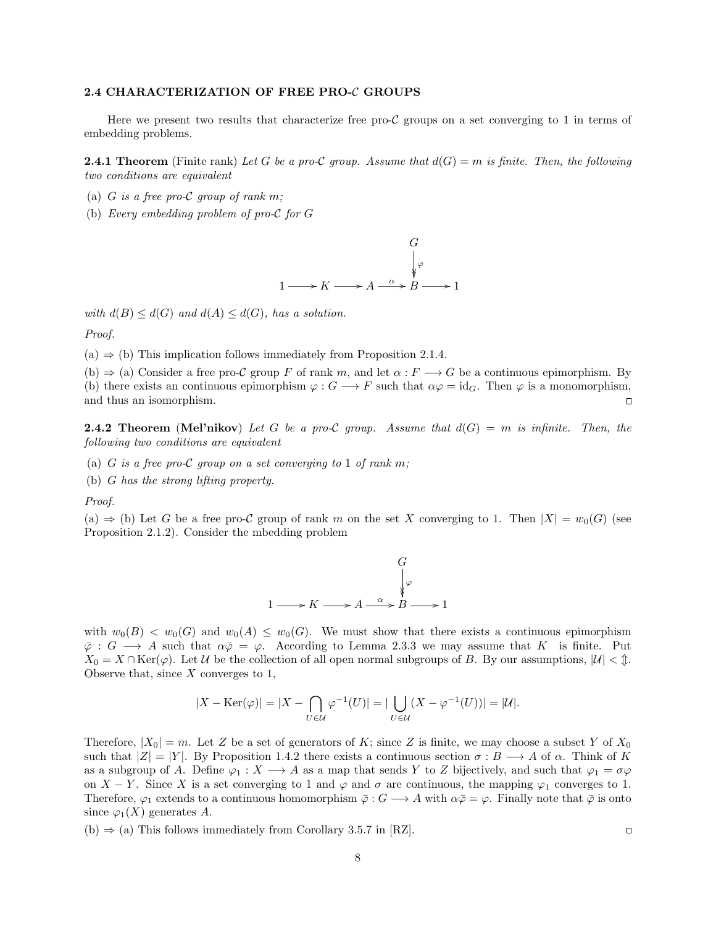#### 2.4 CHARACTERIZATION OF FREE PRO-C GROUPS

Here we present two results that characterize free pro- $\mathcal C$  groups on a set converging to 1 in terms of embedding problems.

**2.4.1 Theorem** (Finite rank) Let G be a pro-C group. Assume that  $d(G) = m$  is finite. Then, the following two conditions are equivalent

- (a) G is a free pro-C group of rank m;
- (b) Every embedding problem of pro-C for G



with  $d(B) \leq d(G)$  and  $d(A) \leq d(G)$ , has a solution.

Proof.

 $(a) \Rightarrow (b)$  This implication follows immediately from Proposition 2.1.4.

(b)  $\Rightarrow$  (a) Consider a free pro-C group F of rank m, and let  $\alpha : F \longrightarrow G$  be a continuous epimorphism. By (b) there exists an continuous epimorphism  $\varphi : G \longrightarrow F$  such that  $\alpha \varphi = id_G$ . Then  $\varphi$  is a monomorphism, and thus an isomorphism.  $\Box$ 

**2.4.2 Theorem** (Mel'nikov) Let G be a pro-C group. Assume that  $d(G) = m$  is infinite. Then, the following two conditions are equivalent

- (a) G is a free pro-C group on a set converging to 1 of rank m;
- (b) G has the strong lifting property.

Proof.

(a)  $\Rightarrow$  (b) Let G be a free pro-C group of rank m on the set X converging to 1. Then  $|X| = w_0(G)$  (see Proposition 2.1.2). Consider the mbedding problem



with  $w_0(B) < w_0(G)$  and  $w_0(A) < w_0(G)$ . We must show that there exists a continuous epimorphism  $\bar{\varphi}: G \longrightarrow A$  such that  $\alpha \bar{\varphi} = \varphi$ . According to Lemma 2.3.3 we may assume that K is finite. Put  $X_0 = X \cap \text{Ker}(\varphi)$ . Let U be the collection of all open normal subgroups of B. By our assumptions,  $|\mathcal{U}| < \mathcal{L}$ . Observe that, since  $X$  converges to 1,

$$
|X - \text{Ker}(\varphi)| = |X - \bigcap_{U \in \mathcal{U}} \varphi^{-1}(U)| = |\bigcup_{U \in \mathcal{U}} (X - \varphi^{-1}(U))| = |\mathcal{U}|.
$$

Therefore,  $|X_0| = m$ . Let Z be a set of generators of K; since Z is finite, we may choose a subset Y of  $X_0$ such that  $|Z| = |Y|$ . By Proposition 1.4.2 there exists a continuous section  $\sigma : B \longrightarrow A$  of  $\alpha$ . Think of K as a subgroup of A. Define  $\varphi_1 : X \longrightarrow A$  as a map that sends Y to Z bijectively, and such that  $\varphi_1 = \sigma \varphi$ on  $X - Y$ . Since X is a set converging to 1 and  $\varphi$  and  $\sigma$  are continuous, the mapping  $\varphi_1$  converges to 1. Therefore,  $\varphi_1$  extends to a continuous homomorphism  $\bar{\varphi}: G \longrightarrow A$  with  $\alpha \bar{\varphi} = \varphi$ . Finally note that  $\bar{\varphi}$  is onto since  $\varphi_1(X)$  generates A.

(b)  $\Rightarrow$  (a) This follows immediately from Corollary 3.5.7 in [RZ].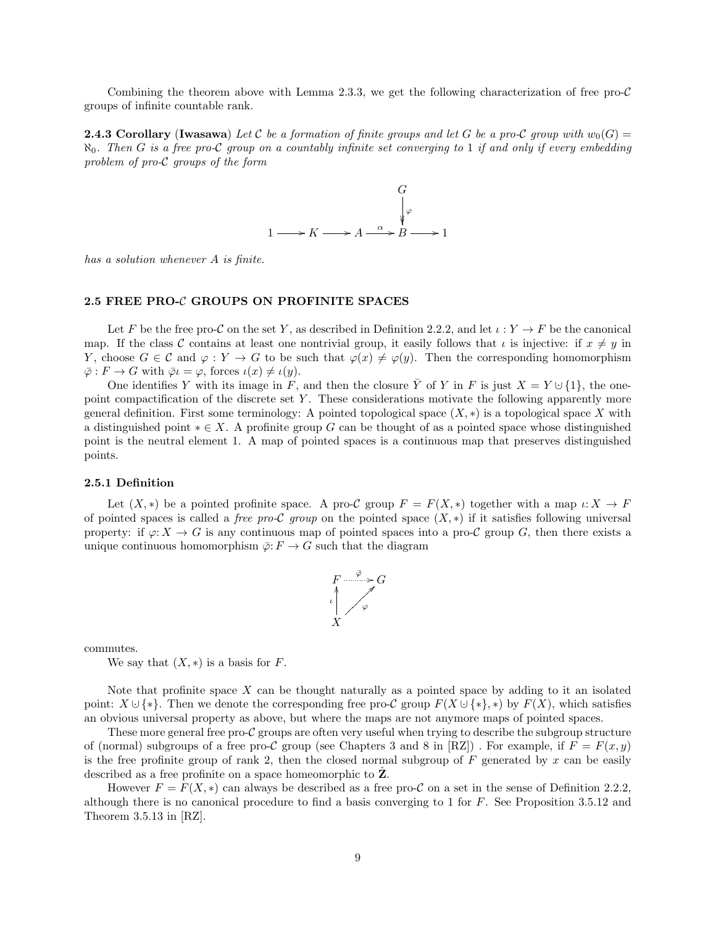Combining the theorem above with Lemma 2.3.3, we get the following characterization of free pro- $\mathcal{C}$ groups of infinite countable rank.

**2.4.3 Corollary (Iwasawa)** Let C be a formation of finite groups and let G be a pro-C group with  $w_0(G)$  =  $\aleph_0$ . Then G is a free pro-C group on a countably infinite set converging to 1 if and only if every embedding problem of pro-C groups of the form



has a solution whenever A is finite.

# 2.5 FREE PRO-C GROUPS ON PROFINITE SPACES

Let F be the free pro-C on the set Y, as described in Definition 2.2.2, and let  $\iota: Y \to F$  be the canonical map. If the class C contains at least one nontrivial group, it easily follows that  $\iota$  is injective: if  $x \neq y$  in Y, choose  $G \in \mathcal{C}$  and  $\varphi : Y \to G$  to be such that  $\varphi(x) \neq \varphi(y)$ . Then the corresponding homomorphism  $\overline{\varphi}: F \to G$  with  $\overline{\varphi} \iota = \varphi$ , forces  $\iota(x) \neq \iota(y)$ .

One identifies Y with its image in F, and then the closure  $\overline{Y}$  of Y in F is just  $X = Y \cup \{1\}$ , the onepoint compactification of the discrete set Y. These considerations motivate the following apparently more general definition. First some terminology: A pointed topological space  $(X, *)$  is a topological space X with a distinguished point  $* \in X$ . A profinite group G can be thought of as a pointed space whose distinguished point is the neutral element 1. A map of pointed spaces is a continuous map that preserves distinguished points.

#### 2.5.1 Definition

Let  $(X, *)$  be a pointed profinite space. A pro-C group  $F = F(X, *)$  together with a map  $\iota: X \to F$ of pointed spaces is called a *free pro-C group* on the pointed space  $(X, *)$  if it satisfies following universal property: if  $\varphi: X \to G$  is any continuous map of pointed spaces into a pro-C group G, then there exists a unique continuous homomorphism  $\overline{\varphi}$ :  $F \to G$  such that the diagram



commutes.

We say that  $(X, *)$  is a basis for F.

Note that profinite space  $X$  can be thought naturally as a pointed space by adding to it an isolated point:  $X \cup \{*\}$ . Then we denote the corresponding free pro-C group  $F(X \cup \{*\}, *)$  by  $F(X)$ , which satisfies an obvious universal property as above, but where the maps are not anymore maps of pointed spaces.

These more general free pro-C groups are often very useful when trying to describe the subgroup structure of (normal) subgroups of a free pro-C group (see Chapters 3 and 8 in [RZ]). For example, if  $F = F(x, y)$ is the free profinite group of rank 2, then the closed normal subgroup of  $F$  generated by x can be easily described as a free profinite on a space homeomorphic to  $Z$ .

However  $F = F(X, *)$  can always be described as a free pro-C on a set in the sense of Definition 2.2.2, although there is no canonical procedure to find a basis converging to 1 for  $F$ . See Proposition 3.5.12 and Theorem 3.5.13 in [RZ].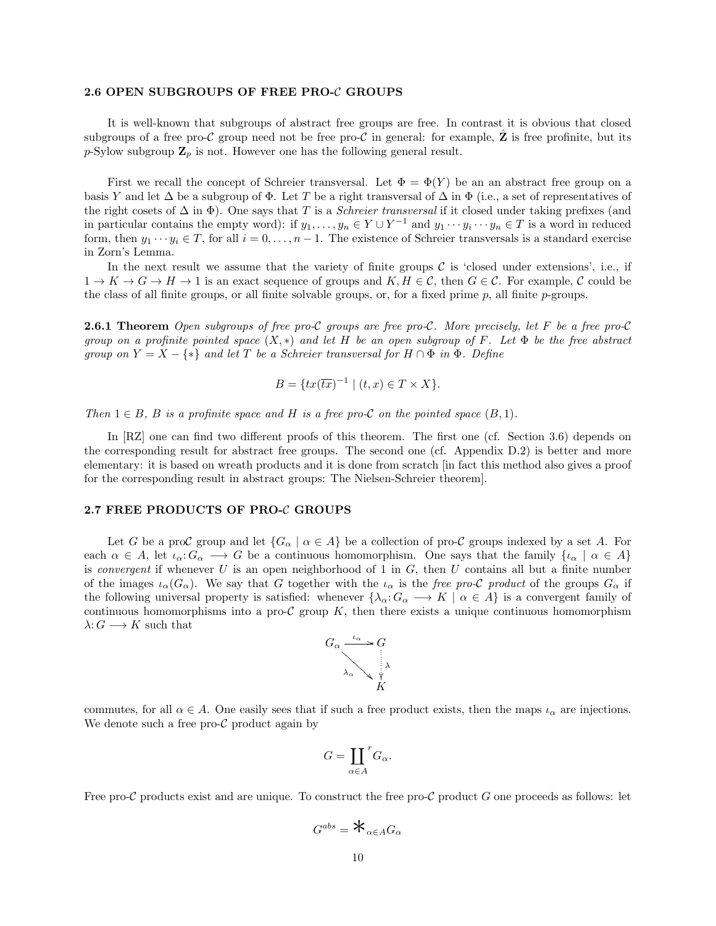#### 2.6 OPEN SUBGROUPS OF FREE PRO-C GROUPS

It is well-known that subgroups of abstract free groups are free. In contrast it is obvious that closed subgroups of a free pro-C group need not be free pro-C in general: for example, **Z** is free profinite, but its p-Sylow subgroup  $\mathbf{Z}_p$  is not. However one has the following general result.

First we recall the concept of Schreier transversal. Let  $\Phi = \Phi(Y)$  be an an abstract free group on a basis Y and let  $\Delta$  be a subgroup of  $\Phi$ . Let T be a right transversal of  $\Delta$  in  $\Phi$  (i.e., a set of representatives of the right cosets of  $\Delta$  in  $\Phi$ ). One says that T is a *Schreier transversal* if it closed under taking prefixes (and in particular contains the empty word): if  $y_1, \ldots, y_n \in Y \cup Y^{-1}$  and  $y_1 \cdots y_i \cdots y_n \in T$  is a word in reduced form, then  $y_1 \cdots y_i \in T$ , for all  $i = 0, \ldots, n - 1$ . The existence of Schreier transversals is a standard exercise in Zorn's Lemma.

In the next result we assume that the variety of finite groups  $\mathcal C$  is 'closed under extensions', i.e., if  $1 \to K \to G \to H \to 1$  is an exact sequence of groups and  $K, H \in \mathcal{C}$ , then  $G \in \mathcal{C}$ . For example, C could be the class of all finite groups, or all finite solvable groups, or, for a fixed prime  $p$ , all finite  $p$ -groups.

**2.6.1 Theorem** Open subgroups of free pro-C groups are free pro-C. More precisely, let F be a free pro-C group on a profinite pointed space  $(X, *)$  and let H be an open subgroup of F. Let  $\Phi$  be the free abstract group on  $Y = X - \{*\}$  and let T be a Schreier transversal for  $H \cap \Phi$  in  $\Phi$ . Define

$$
B = \{ tx(\overline{tx})^{-1} \mid (t, x) \in T \times X \}.
$$

Then  $1 \in B$ , B is a profinite space and H is a free pro-C on the pointed space  $(B, 1)$ .

In [RZ] one can find two different proofs of this theorem. The first one (cf. Section 3.6) depends on the corresponding result for abstract free groups. The second one (cf. Appendix D.2) is better and more elementary: it is based on wreath products and it is done from scratch [in fact this method also gives a proof for the corresponding result in abstract groups: The Nielsen-Schreier theorem].

# 2.7 FREE PRODUCTS OF PRO-C GROUPS

Let G be a proC group and let  $\{G_\alpha \mid \alpha \in A\}$  be a collection of pro-C groups indexed by a set A. For each  $\alpha \in A$ , let  $\iota_{\alpha}: G_{\alpha} \longrightarrow G$  be a continuous homomorphism. One says that the family  $\{\iota_{\alpha} \mid \alpha \in A\}$ is *convergent* if whenever U is an open neighborhood of 1 in  $G$ , then U contains all but a finite number of the images  $\iota_{\alpha}(G_{\alpha})$ . We say that G together with the  $\iota_{\alpha}$  is the free pro-C product of the groups  $G_{\alpha}$  if the following universal property is satisfied: whenever  $\{\lambda_{\alpha}: G_{\alpha} \longrightarrow K \mid \alpha \in A\}$  is a convergent family of continuous homomorphisms into a pro-C group  $K$ , then there exists a unique continuous homomorphism  $\lambda: G \longrightarrow K$  such that



commutes, for all  $\alpha \in A$ . One easily sees that if such a free product exists, then the maps  $\iota_{\alpha}$  are injections. We denote such a free pro- $\mathcal C$  product again by

$$
G=\coprod_{\alpha\in A}{}^rG_\alpha.
$$

Free pro-C products exist and are unique. To construct the free pro-C product G one proceeds as follows: let

$$
G^{abs} = \mathbf{\bigstar}_{\alpha \in A} G_{\alpha}
$$